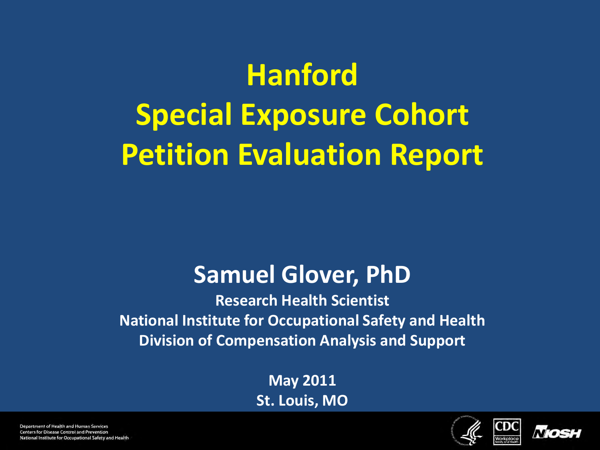# **Hanford Special Exposure Cohort Petition Evaluation Report**

#### **Samuel Glover, PhD**

**Research Health Scientist National Institute for Occupational Safety and Health Division of Compensation Analysis and Support**

> **May 2011 St. Louis, MO**



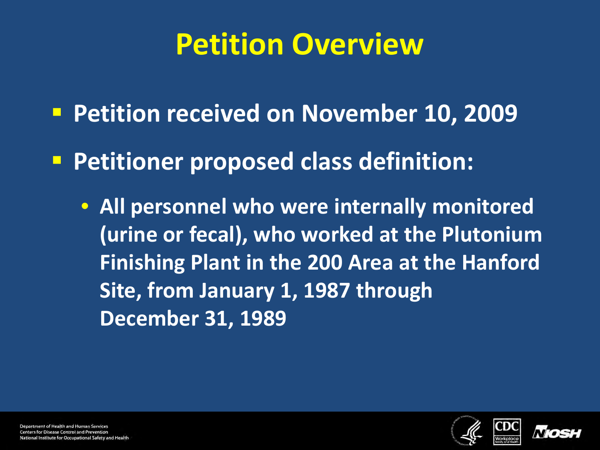### **Petition Overview**

- **Petition received on November 10, 2009**
- **Petitioner proposed class definition:** 
	- **All personnel who were internally monitored (urine or fecal), who worked at the Plutonium Finishing Plant in the 200 Area at the Hanford Site, from January 1, 1987 through December 31, 1989**



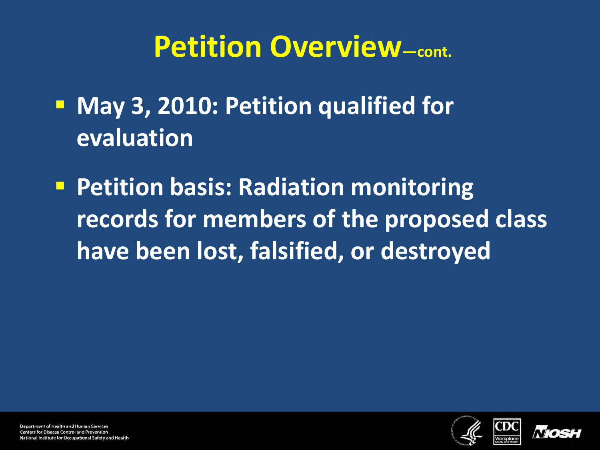**May 3, 2010: Petition qualified for evaluation**

**Petition basis: Radiation monitoring records for members of the proposed class have been lost, falsified, or destroyed**



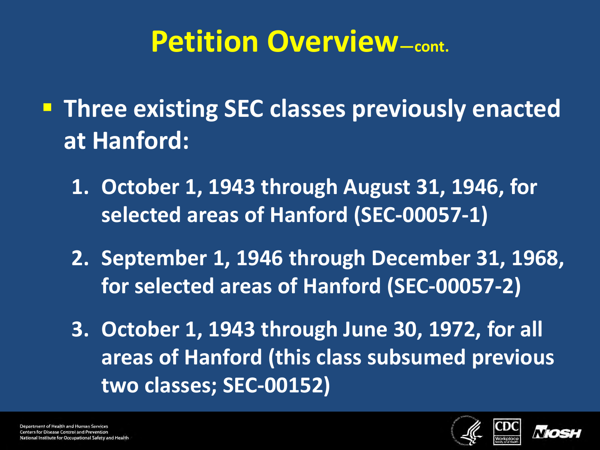**Three existing SEC classes previously enacted at Hanford:**

- **1. October 1, 1943 through August 31, 1946, for selected areas of Hanford (SEC-00057-1)**
- **2. September 1, 1946 through December 31, 1968, for selected areas of Hanford (SEC-00057-2)**
- **3. October 1, 1943 through June 30, 1972, for all areas of Hanford (this class subsumed previous two classes; SEC-00152)**



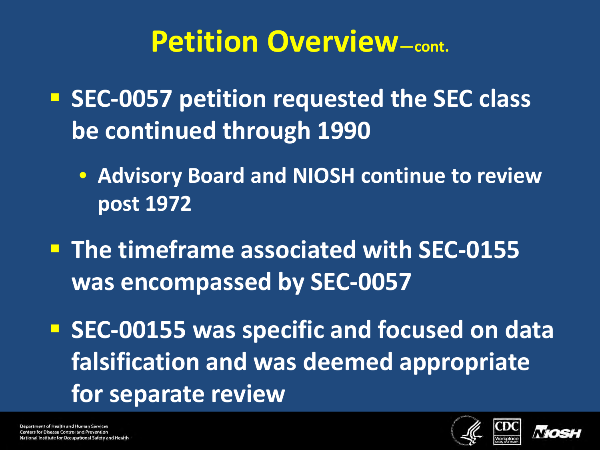- **SEC-0057 petition requested the SEC class be continued through 1990**
	- **Advisory Board and NIOSH continue to review post 1972**
- **The timeframe associated with SEC-0155 was encompassed by SEC-0057**
- **SEC-00155 was specific and focused on data falsification and was deemed appropriate for separate review**



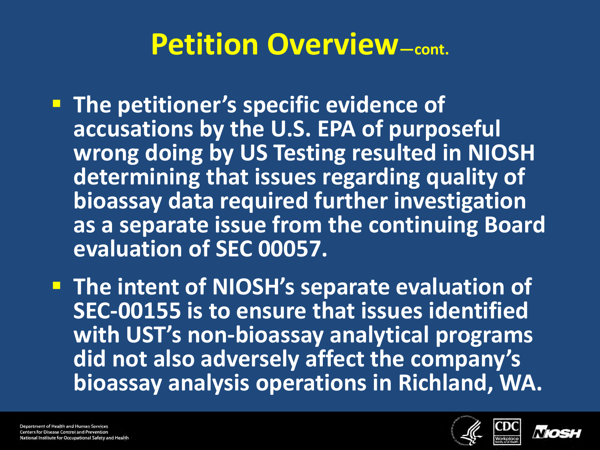**The petitioner's specific evidence of accusations by the U.S. EPA of purposeful wrong doing by US Testing resulted in NIOSH determining that issues regarding quality of bioassay data required further investigation as a separate issue from the continuing Board evaluation of SEC 00057.**

**The intent of NIOSH's separate evaluation of SEC-00155 is to ensure that issues identified with UST's non-bioassay analytical programs did not also adversely affect the company's bioassay analysis operations in Richland, WA.**

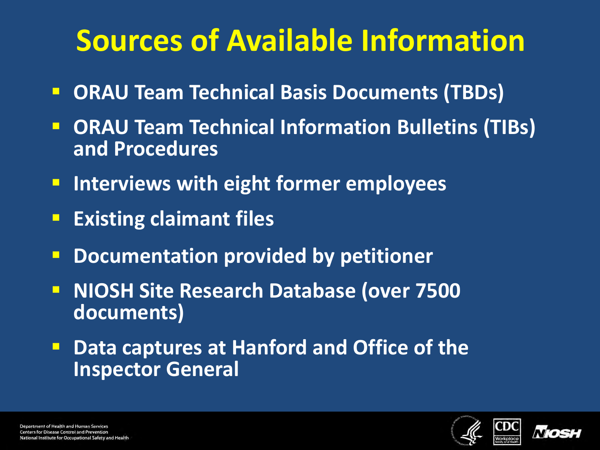# **Sources of Available Information**

- **DRAU Team Technical Basis Documents (TBDs)**
- **DRAU Team Technical Information Bulletins (TIBs) and Procedures**
- **Interviews with eight former employees**
- **Existing claimant files**
- **P Documentation provided by petitioner**
- **NIOSH Site Research Database (over 7500 documents)**
- **P.** Data captures at Hanford and Office of the **Inspector General**



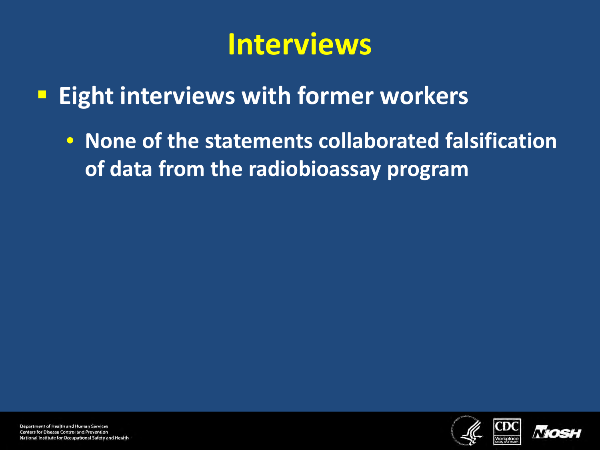### **Interviews**

- **Eight interviews with former workers**
	- **None of the statements collaborated falsification of data from the radiobioassay program**



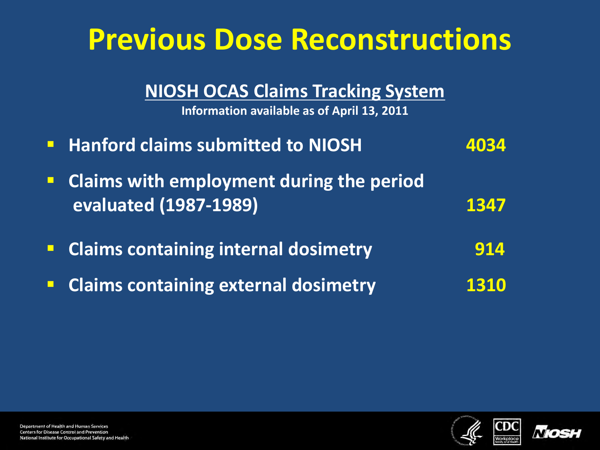| <b>Previous Dose Reconstructions</b>                                                   |      |
|----------------------------------------------------------------------------------------|------|
| <b>NIOSH OCAS Claims Tracking System</b><br>Information available as of April 13, 2011 |      |
| <b>E</b> Hanford claims submitted to NIOSH                                             | 4034 |
| • Claims with employment during the period<br><b>evaluated (1987-1989)</b>             | 1347 |
| <b>Claims containing internal dosimetry</b>                                            | 914  |
| <b>Claims containing external dosimetry</b>                                            |      |



**NIOSH**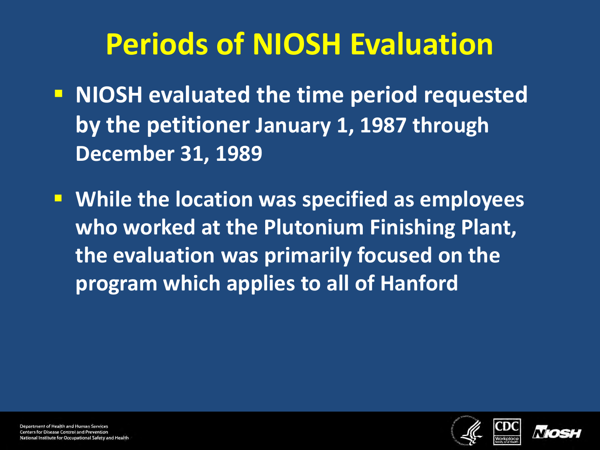# **Periods of NIOSH Evaluation**

- **NIOSH evaluated the time period requested by the petitioner January 1, 1987 through December 31, 1989**
- **While the location was specified as employees who worked at the Plutonium Finishing Plant, the evaluation was primarily focused on the program which applies to all of Hanford**



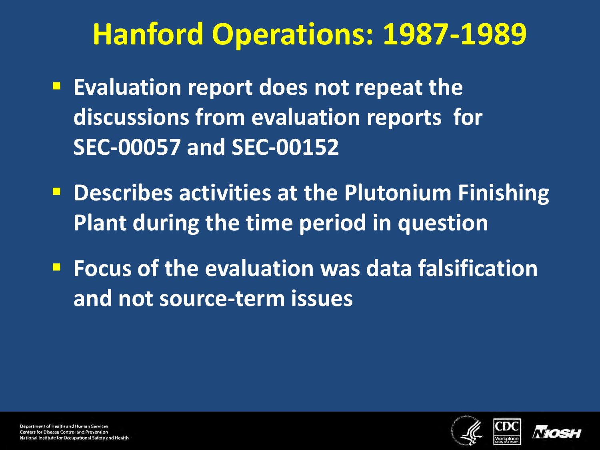# **Hanford Operations: 1987-1989**

- **Evaluation report does not repeat the discussions from evaluation reports for SEC-00057 and SEC-00152**
- **P** Describes activities at the Plutonium Finishing **Plant during the time period in question**
- **FIDUATE:** Focus of the evaluation was data falsification **and not source-term issues**



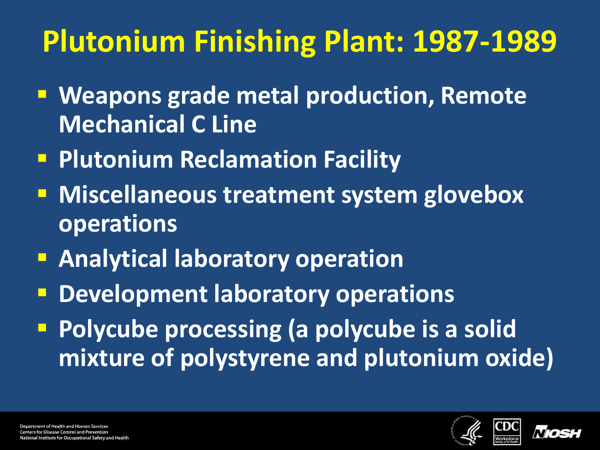# **Plutonium Finishing Plant: 1987-1989**

- **Weapons grade metal production, Remote Mechanical C Line**
- **Plutonium Reclamation Facility**
- **Miscellaneous treatment system glovebox operations**
- **Analytical laboratory operation**
- **P** Development laboratory operations
- **Polycube processing (a polycube is a solid mixture of polystyrene and plutonium oxide)**

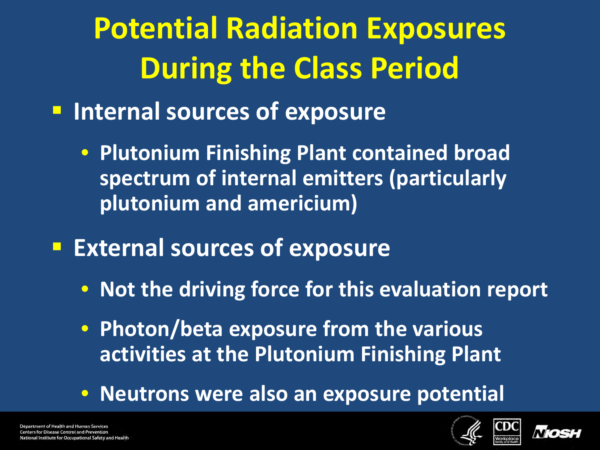**Potential Radiation Exposures During the Class Period**

- $\blacksquare$  Internal sources of exposure
	- **Plutonium Finishing Plant contained broad spectrum of internal emitters (particularly plutonium and americium)**
- **External sources of exposure** 
	- **Not the driving force for this evaluation report**
	- **Photon/beta exposure from the various activities at the Plutonium Finishing Plant**
	- **Neutrons were also an exposure potential**

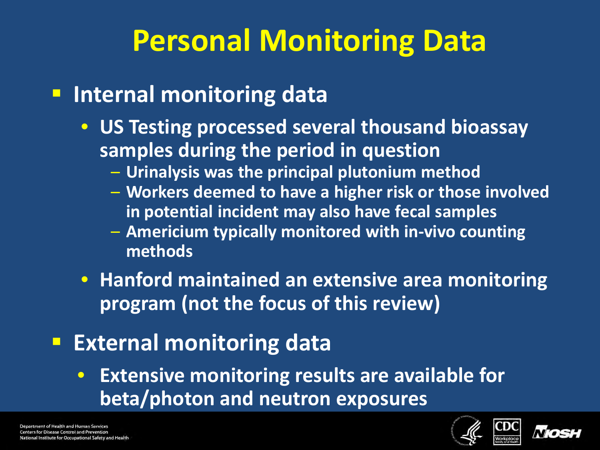# **Personal Monitoring Data**

#### **Internal monitoring data**

- **US Testing processed several thousand bioassay samples during the period in question**
	- **Urinalysis was the principal plutonium method**
	- **Workers deemed to have a higher risk or those involved in potential incident may also have fecal samples**
	- **Americium typically monitored with in-vivo counting methods**
- **Hanford maintained an extensive area monitoring program (not the focus of this review)**
- **External monitoring data** 
	- **Extensive monitoring results are available for beta/photon and neutron exposures**



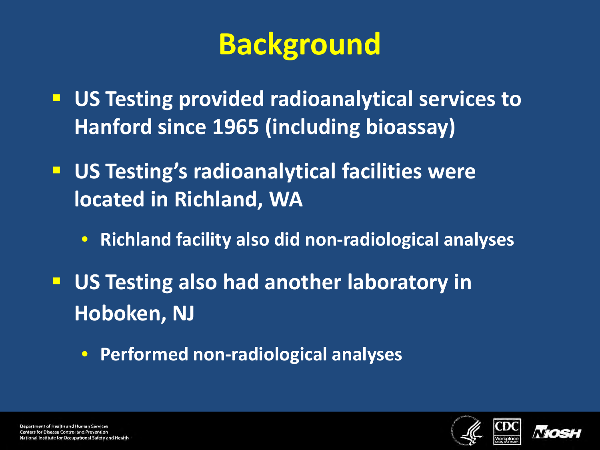# **Background**

- **US Testing provided radioanalytical services to Hanford since 1965 (including bioassay)**
- **US Testing's radioanalytical facilities were located in Richland, WA**
	- **Richland facility also did non-radiological analyses**
- **US Testing also had another laboratory in Hoboken, NJ**
	- **Performed non-radiological analyses**



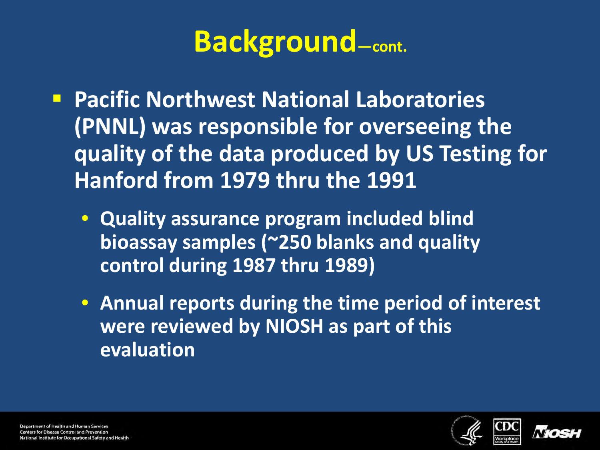### **Background—cont.**

- **Pacific Northwest National Laboratories (PNNL) was responsible for overseeing the quality of the data produced by US Testing for Hanford from 1979 thru the 1991**
	- **Quality assurance program included blind bioassay samples (~250 blanks and quality control during 1987 thru 1989)**
	- **Annual reports during the time period of interest were reviewed by NIOSH as part of this evaluation**



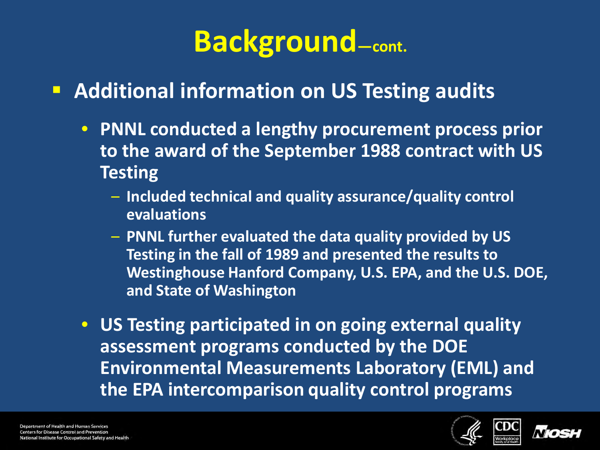### **Background—cont.**

#### **Additional information on US Testing audits**

- **PNNL conducted a lengthy procurement process prior to the award of the September 1988 contract with US Testing**
	- **Included technical and quality assurance/quality control evaluations**
	- **PNNL further evaluated the data quality provided by US Testing in the fall of 1989 and presented the results to Westinghouse Hanford Company, U.S. EPA, and the U.S. DOE, and State of Washington**
- **US Testing participated in on going external quality assessment programs conducted by the DOE Environmental Measurements Laboratory (EML) and the EPA intercomparison quality control programs**

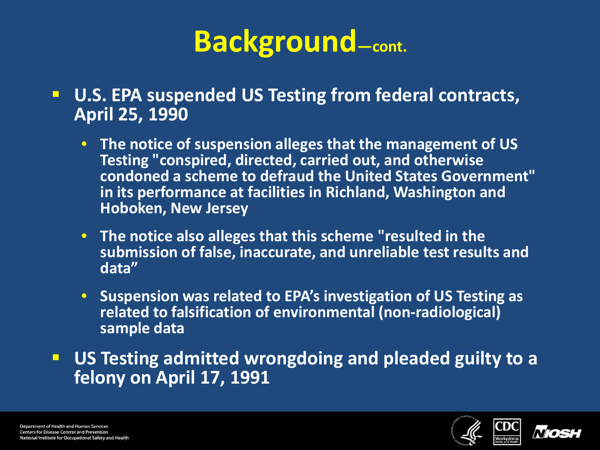### **Background—cont.**

- **U.S. EPA suspended US Testing from federal contracts, April 25, 1990**
	- **The notice of suspension alleges that the management of US Testing "conspired, directed, carried out, and otherwise condoned a scheme to defraud the United States Government" in its performance at facilities in Richland, Washington and Hoboken, New Jersey**
	- **The notice also alleges that this scheme "resulted in the submission of false, inaccurate, and unreliable test results and data"**
	- **Suspension was related to EPA's investigation of US Testing as related to falsification of environmental (non-radiological) sample data**
- **US Testing admitted wrongdoing and pleaded guilty to a felony on April 17, 1991**



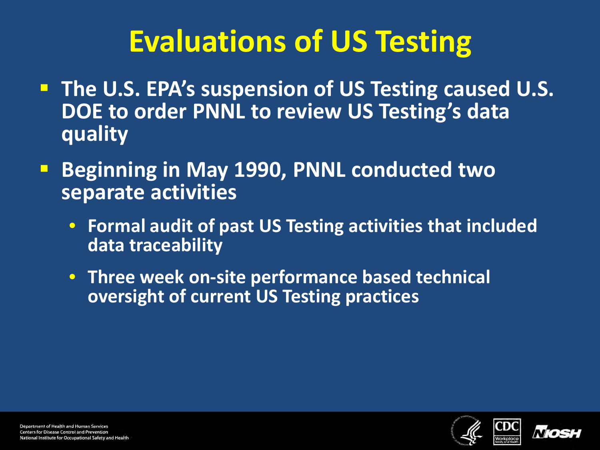# **Evaluations of US Testing**

- **The U.S. EPA's suspension of US Testing caused U.S. DOE to order PNNL to review US Testing's data quality**
- **Beginning in May 1990, PNNL conducted two separate activities**
	- **Formal audit of past US Testing activities that included data traceability**
	- **Three week on-site performance based technical oversight of current US Testing practices**



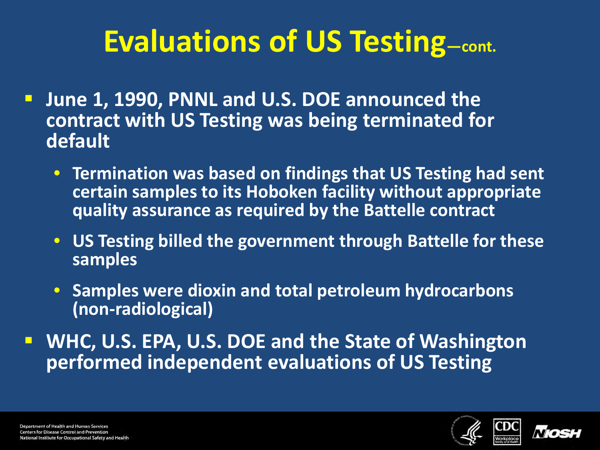# **Evaluations of US Testing—cont.**

- **June 1, 1990, PNNL and U.S. DOE announced the contract with US Testing was being terminated for default**
	- **Termination was based on findings that US Testing had sent certain samples to its Hoboken facility without appropriate quality assurance as required by the Battelle contract**
	- **US Testing billed the government through Battelle for these samples**
	- **Samples were dioxin and total petroleum hydrocarbons (non-radiological)**

 **WHC, U.S. EPA, U.S. DOE and the State of Washington performed independent evaluations of US Testing** 



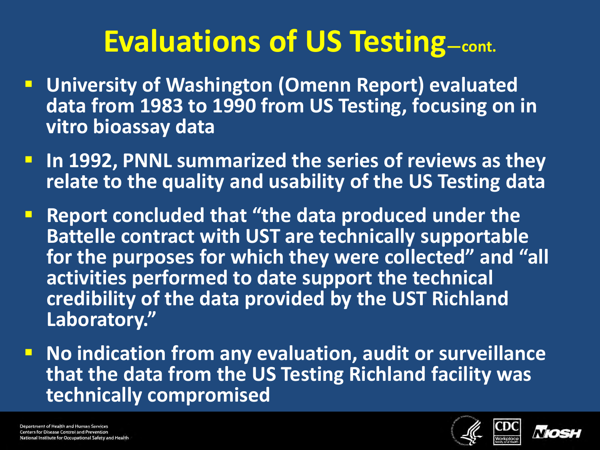# **Evaluations of US Testing—cont.**

- **University of Washington (Omenn Report) evaluated data from 1983 to 1990 from US Testing, focusing on in vitro bioassay data**
- **In 1992, PNNL summarized the series of reviews as they relate to the quality and usability of the US Testing data**
- **Report concluded that "the data produced under the Battelle contract with UST are technically supportable for the purposes for which they were collected" and "all activities performed to date support the technical credibility of the data provided by the UST Richland Laboratory."**
- **No indication from any evaluation, audit or surveillance that the data from the US Testing Richland facility was technically compromised**

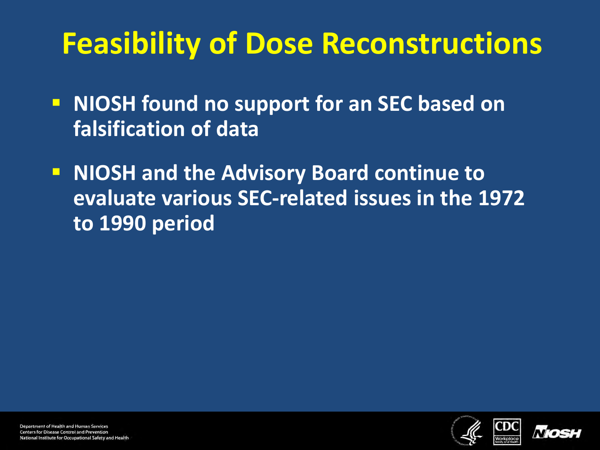# **Feasibility of Dose Reconstructions**

- **NIOSH found no support for an SEC based on falsification of data**
- **NIOSH and the Advisory Board continue to evaluate various SEC-related issues in the 1972 to 1990 period**



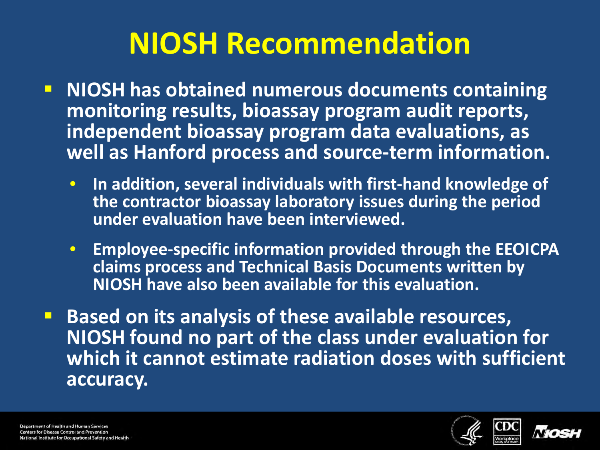# **NIOSH Recommendation**

- **NIOSH has obtained numerous documents containing monitoring results, bioassay program audit reports, independent bioassay program data evaluations, as well as Hanford process and source-term information.** 
	- **In addition, several individuals with first-hand knowledge of the contractor bioassay laboratory issues during the period under evaluation have been interviewed.**
	- **Employee-specific information provided through the EEOICPA claims process and Technical Basis Documents written by NIOSH have also been available for this evaluation.**
- **Based on its analysis of these available resources, NIOSH found no part of the class under evaluation for which it cannot estimate radiation doses with sufficient accuracy.**